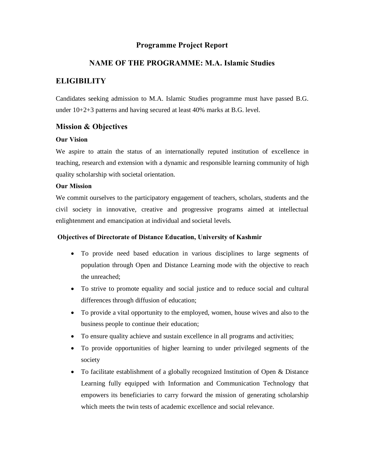## **Programme Project Report**

## **NAME OF THE PROGRAMME: M.A. Islamic Studies**

## **ELIGIBILITY**

Candidates seeking admission to M.A. Islamic Studies programme must have passed B.G. under 10+2+3 patterns and having secured at least 40% marks at B.G. level.

## **Mission & Objectives**

## **Our Vision**

We aspire to attain the status of an internationally reputed institution of excellence in teaching, research and extension with a dynamic and responsible learning community of high quality scholarship with societal orientation.

## **Our Mission**

We commit ourselves to the participatory engagement of teachers, scholars, students and the civil society in innovative, creative and progressive programs aimed at intellectual enlightenment and emancipation at individual and societal levels.

## **Objectives of Directorate of Distance Education, University of Kashmir**

- · To provide need based education in various disciplines to large segments of population through Open and Distance Learning mode with the objective to reach the unreached;
- · To strive to promote equality and social justice and to reduce social and cultural differences through diffusion of education;
- · To provide a vital opportunity to the employed, women, house wives and also to the business people to continue their education;
- To ensure quality achieve and sustain excellence in all programs and activities;
- · To provide opportunities of higher learning to under privileged segments of the society
- To facilitate establishment of a globally recognized Institution of Open & Distance Learning fully equipped with Information and Communication Technology that empowers its beneficiaries to carry forward the mission of generating scholarship which meets the twin tests of academic excellence and social relevance.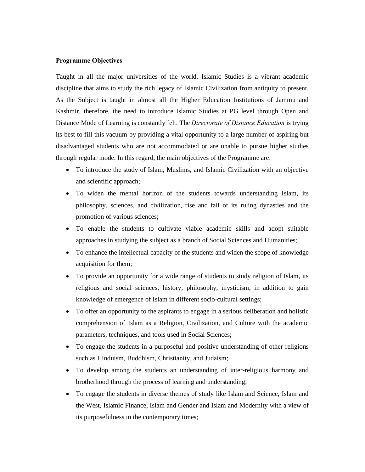## **Programme Objectives**

Taught in all the major universities of the world, Islamic Studies is a vibrant academic discipline that aims to study the rich legacy of Islamic Civilization from antiquity to present. As the Subject is taught in almost all the Higher Education Institutions of Jammu and Kashmir, therefore, the need to introduce Islamic Studies at PG level through Open and Distance Mode of Learning is constantly felt. The *Directorate of Distance Education* is trying its best to fill this vacuum by providing a vital opportunity to a large number of aspiring but disadvantaged students who are not accommodated or are unable to pursue higher studies through regular mode. In this regard, the main objectives of the Programme are:

- · To introduce the study of Islam, Muslims, and Islamic Civilization with an objective and scientific approach;
- · To widen the mental horizon of the students towards understanding Islam, its philosophy, sciences, and civilization, rise and fall of its ruling dynasties and the promotion of various sciences;
- · To enable the students to cultivate viable academic skills and adopt suitable approaches in studying the subject as a branch of Social Sciences and Humanities;
- · To enhance the intellectual capacity of the students and widen the scope of knowledge acquisition for them;
- To provide an opportunity for a wide range of students to study religion of Islam, its religious and social sciences, history, philosophy, mysticism, in addition to gain knowledge of emergence of Islam in different socio-cultural settings;
- · To offer an opportunity to the aspirants to engage in a serious deliberation and holistic comprehension of Islam as a Religion, Civilization, and Culture with the academic parameters, techniques, and tools used in Social Sciences;
- To engage the students in a purposeful and positive understanding of other religions such as Hinduism, Buddhism, Christianity, and Judaism;
- · To develop among the students an understanding of inter-religious harmony and brotherhood through the process of learning and understanding;
- · To engage the students in diverse themes of study like Islam and Science, Islam and the West, Islamic Finance, Islam and Gender and Islam and Modernity with a view of its purposefulness in the contemporary times;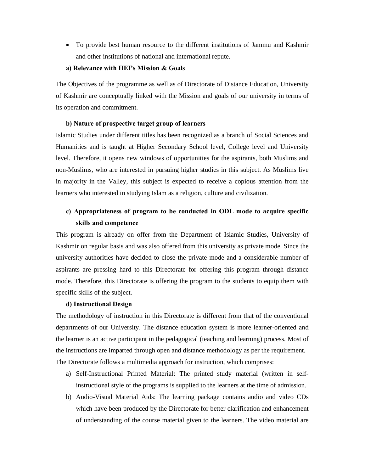· To provide best human resource to the different institutions of Jammu and Kashmir and other institutions of national and international repute.

#### **a) Relevance with HEI's Mission & Goals**

The Objectives of the programme as well as of Directorate of Distance Education, University of Kashmir are conceptually linked with the Mission and goals of our university in terms of its operation and commitment.

#### **b) Nature of prospective target group of learners**

Islamic Studies under different titles has been recognized as a branch of Social Sciences and Humanities and is taught at Higher Secondary School level, College level and University level. Therefore, it opens new windows of opportunities for the aspirants, both Muslims and non-Muslims, who are interested in pursuing higher studies in this subject. As Muslims live in majority in the Valley, this subject is expected to receive a copious attention from the learners who interested in studying Islam as a religion, culture and civilization.

## **c) Appropriateness of program to be conducted in ODL mode to acquire specific skills and competence**

This program is already on offer from the Department of Islamic Studies, University of Kashmir on regular basis and was also offered from this university as private mode. Since the university authorities have decided to close the private mode and a considerable number of aspirants are pressing hard to this Directorate for offering this program through distance mode. Therefore, this Directorate is offering the program to the students to equip them with specific skills of the subject.

#### **d) Instructional Design**

The methodology of instruction in this Directorate is different from that of the conventional departments of our University. The distance education system is more learner-oriented and the learner is an active participant in the pedagogical (teaching and learning) process. Most of the instructions are imparted through open and distance methodology as per the requirement. The Directorate follows a multimedia approach for instruction, which comprises:

- a) Self-Instructional Printed Material: The printed study material (written in selfinstructional style of the programs is supplied to the learners at the time of admission.
- b) Audio-Visual Material Aids: The learning package contains audio and video CDs which have been produced by the Directorate for better clarification and enhancement of understanding of the course material given to the learners. The video material are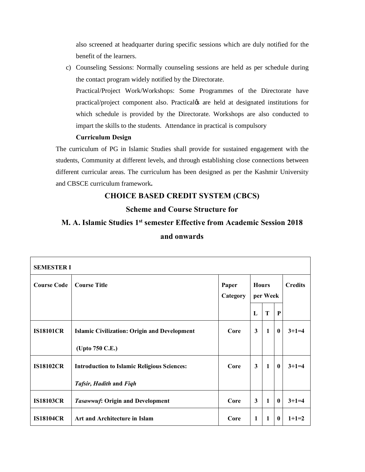also screened at headquarter during specific sessions which are duly notified for the benefit of the learners.

c) Counseling Sessions: Normally counseling sessions are held as per schedule during the contact program widely notified by the Directorate.

Practical/Project Work/Workshops: Some Programmes of the Directorate have practical/project component also. Practical $\alpha$  are held at designated institutions for which schedule is provided by the Directorate. Workshops are also conducted to impart the skills to the students. Attendance in practical is compulsory

## **Curriculum Design**

The curriculum of PG in Islamic Studies shall provide for sustained engagement with the students, Community at different levels, and through establishing close connections between different curricular areas. The curriculum has been designed as per the Kashmir University and CBSCE curriculum framework**.**

## **CHOICE BASED CREDIT SYSTEM (CBCS)**

## **Scheme and Course Structure for**

# **M. A. Islamic Studies 1st semester Effective from Academic Session 2018 and onwards**

| <b>SEMESTER I</b>  |                                                     |                   |                          |              |              |                |  |
|--------------------|-----------------------------------------------------|-------------------|--------------------------|--------------|--------------|----------------|--|
| <b>Course Code</b> | <b>Course Title</b>                                 | Paper<br>Category | <b>Hours</b><br>per Week |              |              | <b>Credits</b> |  |
|                    |                                                     |                   | $\mathbf{L}$             | T            | $\mathbf{P}$ |                |  |
| <b>IS18101CR</b>   | <b>Islamic Civilization: Origin and Development</b> | Core              | $\mathbf{3}$             | $\mathbf{1}$ | $\bf{0}$     | $3+1=4$        |  |
|                    | (Upto 750 C.E.)                                     |                   |                          |              |              |                |  |
| <b>IS18102CR</b>   | <b>Introduction to Islamic Religious Sciences:</b>  | Core              | 3                        | $\mathbf{1}$ | $\bf{0}$     | $3+1=4$        |  |
|                    | Tafsir, Hadith and Figh                             |                   |                          |              |              |                |  |
| <b>IS18103CR</b>   | <b>Tasawwuf: Origin and Development</b>             | Core              | 3                        | 1            | $\bf{0}$     | $3+1=4$        |  |
| <b>IS18104CR</b>   | Art and Architecture in Islam                       | Core              | $\mathbf{1}$             | 1            | $\mathbf{0}$ | $1+1=2$        |  |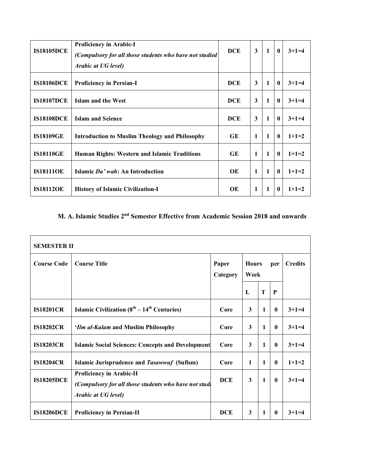| <b>IS18105DCE</b> | Proficiency in Arabic-I<br>(Compulsory for all those students who have not studied<br>Arabic at UG level) | <b>DCE</b> | 3 | 1 | $\bf{0}$         | $3+1=4$ |
|-------------------|-----------------------------------------------------------------------------------------------------------|------------|---|---|------------------|---------|
| <b>IS18106DCE</b> | <b>Proficiency in Persian-I</b>                                                                           | <b>DCE</b> | 3 | 1 | $\boldsymbol{0}$ | $3+1=4$ |
| <b>IS18107DCE</b> | Islam and the West                                                                                        | <b>DCE</b> | 3 | 1 | $\bf{0}$         | $3+1=4$ |
| <b>IS18108DCE</b> | <b>Islam and Science</b>                                                                                  | <b>DCE</b> | 3 | 1 | $\bf{0}$         | $3+1+4$ |
| <b>IS18109GE</b>  | <b>Introduction to Muslim Theology and Philosophy</b>                                                     | GE         | 1 | 1 | $\bf{0}$         | $1+1=2$ |
| <b>IS18110GE</b>  | <b>Human Rights: Western and Islamic Traditions</b>                                                       | GE         | 1 | 1 | $\bf{0}$         | $1+1=2$ |
| <b>IS181110E</b>  | Islamic Da' wah: An Introduction                                                                          | OE         | 1 | 1 | $\bf{0}$         | $1+1=2$ |
| <b>IS18112OE</b>  | <b>History of Islamic Civilization-I</b>                                                                  | OЕ         | 1 | 1 | $\mathbf{0}$     | $1+1=2$ |

## **M. A. Islamic Studies 2nd Semester Effective from Academic Session 2018 and onwards**

| <b>SEMESTER II</b> |                                                                                                                        |                   |                             |              |              |                |  |
|--------------------|------------------------------------------------------------------------------------------------------------------------|-------------------|-----------------------------|--------------|--------------|----------------|--|
| <b>Course Code</b> | <b>Course Title</b>                                                                                                    | Paper<br>Category | <b>Hours</b><br>per<br>Week |              |              | <b>Credits</b> |  |
|                    |                                                                                                                        |                   | L                           | T            | P            |                |  |
| <b>IS18201CR</b>   | <b>Islamic Civilization (8<sup>th</sup></b> – 14 <sup>th</sup> Centuries)                                              | Core              | 3                           | 1            | $\mathbf{0}$ | $3+1=4$        |  |
| <b>IS18202CR</b>   | <i>'Ilm al-Kalam</i> and Muslim Philosophy                                                                             | Core              | 3                           | 1            | $\mathbf{0}$ | $3+1=4$        |  |
| <b>IS18203CR</b>   | <b>Islamic Social Sciences: Concepts and Development</b>                                                               | Core              | 3                           | 1            | $\mathbf{0}$ | $3+1=4$        |  |
| <b>IS18204CR</b>   | Islamic Jurisprudence and Tasawwuf (Sufism)                                                                            | Core              | $\mathbf{1}$                | $\mathbf{1}$ | $\mathbf{0}$ | $1+1=2$        |  |
| <b>IS18205DCE</b>  | <b>Proficiency in Arabic-II</b><br>(Compulsory for all those students who have not studi<br><b>Arabic at UG level)</b> | <b>DCE</b>        | 3                           | $\mathbf{1}$ | $\mathbf{0}$ | $3+1=4$        |  |
| <b>IS18206DCE</b>  | <b>Proficiency in Persian-II</b>                                                                                       | <b>DCE</b>        | 3                           | 1            | $\mathbf{0}$ | $3+1=4$        |  |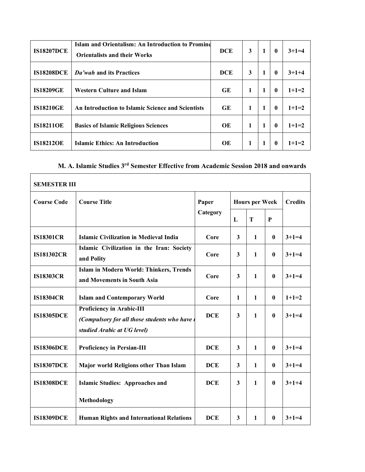| <b>IS18207DCE</b> | Islam and Orientalism: An Introduction to Promine<br><b>Orientalists and their Works</b> | <b>DCE</b> | 3            | 1 | $\mathbf{0}$ | $3+1=4$ |
|-------------------|------------------------------------------------------------------------------------------|------------|--------------|---|--------------|---------|
| <b>IS18208DCE</b> | Da'wah and its Practices                                                                 | <b>DCE</b> | 3            | 1 | $\mathbf{0}$ | $3+1+4$ |
| <b>IS18209GE</b>  | <b>Western Culture and Islam</b>                                                         | <b>GE</b>  | 1            | 1 | $\mathbf{0}$ | $1+1=2$ |
| <b>IS18210GE</b>  | An Introduction to Islamic Science and Scientists                                        | <b>GE</b>  | 1            | 1 | $\mathbf{0}$ | $1+1=2$ |
| <b>IS18211OE</b>  | <b>Basics of Islamic Religious Sciences</b>                                              | OE         | $\mathbf{1}$ | 1 | $\mathbf{0}$ | $1+1=2$ |
| <b>IS18212OE</b>  | Islamic Ethics: An Introduction                                                          | OE         | 1            | 1 | $\mathbf{0}$ | $1+1=2$ |

# **M. A. Islamic Studies 3rd Semester Effective from Academic Session 2018 and onwards**

| <b>SEMESTER III</b> |                                                                                                                |            |                         |                       |                |         |  |
|---------------------|----------------------------------------------------------------------------------------------------------------|------------|-------------------------|-----------------------|----------------|---------|--|
| <b>Course Code</b>  | <b>Course Title</b>                                                                                            | Paper      |                         | <b>Hours per Week</b> | <b>Credits</b> |         |  |
|                     |                                                                                                                | Category   | $\mathbf{L}$            | $\mathbf T$           | P              |         |  |
| <b>IS18301CR</b>    | <b>Islamic Civilization in Medieval India</b>                                                                  | Core       | 3                       | $\mathbf{1}$          | $\mathbf{0}$   | $3+1=4$ |  |
| <b>IS181302CR</b>   | Islamic Civilization in the Iran: Society<br>and Polity                                                        | Core       | 3                       | $\mathbf{1}$          | $\mathbf{0}$   | $3+1=4$ |  |
| <b>IS18303CR</b>    | <b>Islam in Modern World: Thinkers, Trends</b><br>and Movements in South Asia                                  | Core       | 3                       | $\mathbf{1}$          | $\bf{0}$       | $3+1=4$ |  |
| <b>IS18304CR</b>    | <b>Islam and Contemporary World</b>                                                                            | Core       | 1                       | $\mathbf{1}$          | $\bf{0}$       | $1+1=2$ |  |
| <b>IS18305DCE</b>   | <b>Proficiency in Arabic-III</b><br>(Compulsory for all those students who have<br>studied Arabic at UG level) | <b>DCE</b> | 3                       | $\mathbf{1}$          | $\bf{0}$       | $3+1=4$ |  |
| <b>IS18306DCE</b>   | <b>Proficiency in Persian-III</b>                                                                              | <b>DCE</b> | 3                       | $\mathbf{1}$          | $\bf{0}$       | $3+1=4$ |  |
| <b>IS18307DCE</b>   | Major world Religions other Than Islam                                                                         | <b>DCE</b> | 3                       | $\mathbf{1}$          | $\mathbf{0}$   | $3+1=4$ |  |
| <b>IS18308DCE</b>   | <b>Islamic Studies: Approaches and</b>                                                                         | <b>DCE</b> | $\overline{\mathbf{3}}$ | $\mathbf{1}$          | $\bf{0}$       | $3+1+4$ |  |
|                     | <b>Methodology</b>                                                                                             |            |                         |                       |                |         |  |
| <b>IS18309DCE</b>   | <b>Human Rights and International Relations</b>                                                                | <b>DCE</b> | 3                       | $\mathbf{1}$          | $\mathbf{0}$   | $3+1=4$ |  |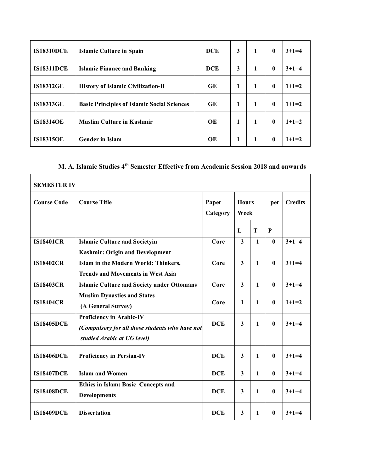| <b>IS18310DCE</b> | Islamic Culture in Spain                           | <b>DCE</b> | 3 | 1 | $\mathbf{0}$ | $3+1=4$ |
|-------------------|----------------------------------------------------|------------|---|---|--------------|---------|
| <b>IS18311DCE</b> | <b>Islamic Finance and Banking</b>                 | <b>DCE</b> | 3 | 1 | $\mathbf{0}$ | $3+1=4$ |
| <b>IS18312GE</b>  | <b>History of Islamic Civilization-II</b>          | <b>GE</b>  | 1 | 1 | $\mathbf{0}$ | $1+1=2$ |
| <b>IS18313GE</b>  | <b>Basic Principles of Islamic Social Sciences</b> | <b>GE</b>  | 1 | 1 | $\mathbf{0}$ | $1+1=2$ |
| <b>IS18314OE</b>  | <b>Muslim Culture in Kashmir</b>                   | OE         | 1 | 1 | $\mathbf{0}$ | $1+1=2$ |
| <b>IS18315OE</b>  | <b>Gender in Islam</b>                             | OE         | 1 | 1 | $\mathbf{0}$ | $1+1=2$ |

# **M. A. Islamic Studies 4th Semester Effective from Academic Session 2018 and onwards**

| <b>SEMESTER IV</b> |                                                                                                            |                   |                         |              |              |                |  |
|--------------------|------------------------------------------------------------------------------------------------------------|-------------------|-------------------------|--------------|--------------|----------------|--|
| <b>Course Code</b> | <b>Course Title</b>                                                                                        | Paper<br>Category | <b>Hours</b><br>Week    |              | per          | <b>Credits</b> |  |
|                    |                                                                                                            |                   | L                       | T            | $\mathbf{P}$ |                |  |
| <b>IS18401CR</b>   | <b>Islamic Culture and Societyin</b>                                                                       | Core              | $\overline{\mathbf{3}}$ | $\mathbf{1}$ | $\bf{0}$     | $3+1=4$        |  |
|                    | <b>Kashmir: Origin and Development</b>                                                                     |                   |                         |              |              |                |  |
| <b>IS18402CR</b>   | Islam in the Modern World: Thinkers,                                                                       | Core              | $\overline{\mathbf{3}}$ | 1            | $\bf{0}$     | $3+1=4$        |  |
|                    | <b>Trends and Movements in West Asia</b>                                                                   |                   |                         |              |              |                |  |
| <b>IS18403CR</b>   | <b>Islamic Culture and Society under Ottomans</b>                                                          | Core              | $\overline{3}$          | $\mathbf{1}$ | $\bf{0}$     | $3+1=4$        |  |
| <b>IS18404CR</b>   | <b>Muslim Dynasties and States</b><br>(A General Survey)                                                   | Core              | $\mathbf{1}$            | $\mathbf{1}$ | $\mathbf{0}$ | $1+1=2$        |  |
| <b>IS18405DCE</b>  | Proficiency in Arabic-IV<br>(Compulsory for all those students who have not<br>studied Arabic at UG level) | <b>DCE</b>        | 3                       | $\mathbf{1}$ | $\mathbf{0}$ | $3+1=4$        |  |
| <b>IS18406DCE</b>  | <b>Proficiency in Persian-IV</b>                                                                           | <b>DCE</b>        | 3                       | $\mathbf 1$  | $\mathbf{0}$ | $3+1=4$        |  |
| <b>IS18407DCE</b>  | <b>Islam and Women</b>                                                                                     | <b>DCE</b>        | 3                       | $\mathbf{1}$ | $\mathbf{0}$ | $3+1=4$        |  |
| <b>IS18408DCE</b>  | <b>Ethics in Islam: Basic Concepts and</b><br><b>Developments</b>                                          | <b>DCE</b>        | $\mathbf{3}$            | 1            | $\bf{0}$     | $3+1+4$        |  |
| <b>IS18409DCE</b>  | <b>Dissertation</b>                                                                                        | <b>DCE</b>        | 3                       | 1            | $\mathbf{0}$ | $3+1=4$        |  |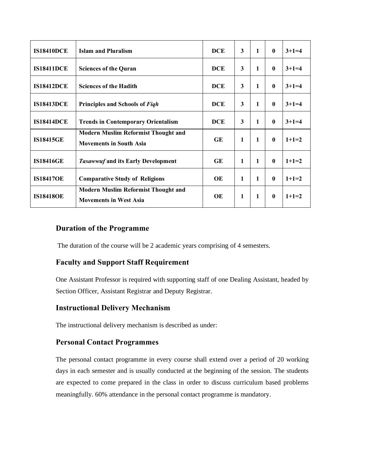| <b>IS18410DCE</b> | <b>Islam and Pluralism</b>                                                   | <b>DCE</b> | 3            | 1 | $\mathbf{0}$ | $3+1=4$ |
|-------------------|------------------------------------------------------------------------------|------------|--------------|---|--------------|---------|
| <b>IS18411DCE</b> | <b>Sciences of the Quran</b>                                                 | <b>DCE</b> | 3            | 1 | $\mathbf{0}$ | $3+1=4$ |
| <b>IS18412DCE</b> | <b>Sciences of the Hadith</b>                                                | <b>DCE</b> | 3            | 1 | $\mathbf{0}$ | $3+1=4$ |
| <b>IS18413DCE</b> | Principles and Schools of Figh                                               | <b>DCE</b> | 3            | 1 | $\mathbf{0}$ | $3+1=4$ |
| <b>IS18414DCE</b> | <b>Trends in Contemporary Orientalism</b>                                    | <b>DCE</b> | 3            | 1 | $\mathbf{0}$ | $3+1=4$ |
| <b>IS18415GE</b>  | <b>Modern Muslim Reformist Thought and</b><br><b>Movements in South Asia</b> | <b>GE</b>  | 1            | 1 | $\mathbf{0}$ | $1+1=2$ |
| <b>IS18416GE</b>  | <b>Tasawwuf and its Early Development</b>                                    | <b>GE</b>  | 1            | 1 | $\mathbf{0}$ | $1+1=2$ |
| <b>IS18417OE</b>  | <b>Comparative Study of Religions</b>                                        | OE         | 1            | 1 | $\mathbf{0}$ | $1+1=2$ |
| <b>IS18418OE</b>  | <b>Modern Muslim Reformist Thought and</b><br><b>Movements in West Asia</b>  | OE         | $\mathbf{1}$ | 1 | $\mathbf{0}$ | $1+1=2$ |

## **Duration of the Programme**

The duration of the course will be 2 academic years comprising of 4 semesters.

## **Faculty and Support Staff Requirement**

One Assistant Professor is required with supporting staff of one Dealing Assistant, headed by Section Officer, Assistant Registrar and Deputy Registrar.

## **Instructional Delivery Mechanism**

The instructional delivery mechanism is described as under:

## **Personal Contact Programmes**

The personal contact programme in every course shall extend over a period of 20 working days in each semester and is usually conducted at the beginning of the session. The students are expected to come prepared in the class in order to discuss curriculum based problems meaningfully. 60% attendance in the personal contact programme is mandatory.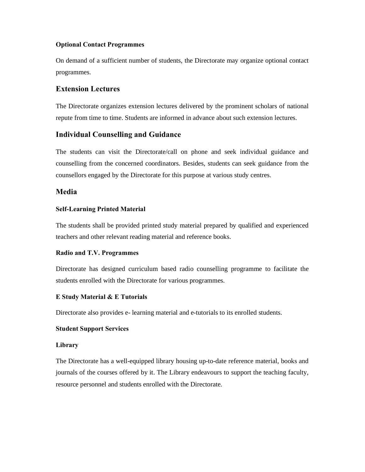## **Optional Contact Programmes**

On demand of a sufficient number of students, the Directorate may organize optional contact programmes.

## **Extension Lectures**

The Directorate organizes extension lectures delivered by the prominent scholars of national repute from time to time. Students are informed in advance about such extension lectures.

## **Individual Counselling and Guidance**

The students can visit the Directorate/call on phone and seek individual guidance and counselling from the concerned coordinators. Besides, students can seek guidance from the counsellors engaged by the Directorate for this purpose at various study centres.

## **Media**

## **Self-Learning Printed Material**

The students shall be provided printed study material prepared by qualified and experienced teachers and other relevant reading material and reference books.

## **Radio and T.V. Programmes**

Directorate has designed curriculum based radio counselling programme to facilitate the students enrolled with the Directorate for various programmes.

## **E Study Material & E Tutorials**

Directorate also provides e- learning material and e-tutorials to its enrolled students.

## **Student Support Services**

## **Library**

The Directorate has a well-equipped library housing up-to-date reference material, books and journals of the courses offered by it. The Library endeavours to support the teaching faculty, resource personnel and students enrolled with the Directorate.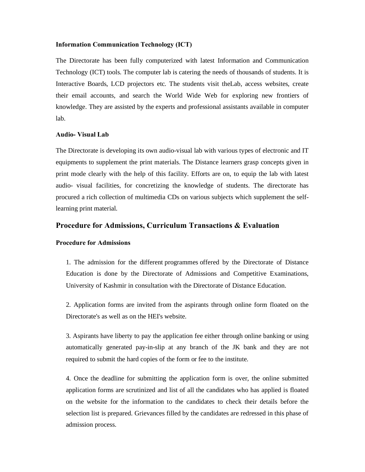#### **Information Communication Technology (ICT)**

The Directorate has been fully computerized with latest Information and Communication Technology (ICT) tools. The computer lab is catering the needs of thousands of students. It is Interactive Boards, LCD projectors etc. The students visit theLab, access websites, create their email accounts, and search the World Wide Web for exploring new frontiers of knowledge. They are assisted by the experts and professional assistants available in computer lab.

## **Audio- Visual Lab**

The Directorate is developing its own audio-visual lab with various types of electronic and IT equipments to supplement the print materials. The Distance learners grasp concepts given in print mode clearly with the help of this facility. Efforts are on, to equip the lab with latest audio- visual facilities, for concretizing the knowledge of students. The directorate has procured a rich collection of multimedia CDs on various subjects which supplement the selflearning print material.

### **Procedure for Admissions, Curriculum Transactions & Evaluation**

#### **Procedure for Admissions**

1. The admission for the different programmes offered by the Directorate of Distance Education is done by the Directorate of Admissions and Competitive Examinations, University of Kashmir in consultation with the Directorate of Distance Education.

2. Application forms are invited from the aspirants through online form floated on the Directorate's as well as on the HEI's website.

3. Aspirants have liberty to pay the application fee either through online banking or using automatically generated pay-in-slip at any branch of the JK bank and they are not required to submit the hard copies of the form or fee to the institute.

4. Once the deadline for submitting the application form is over, the online submitted application forms are scrutinized and list of all the candidates who has applied is floated on the website for the information to the candidates to check their details before the selection list is prepared. Grievances filled by the candidates are redressed in this phase of admission process.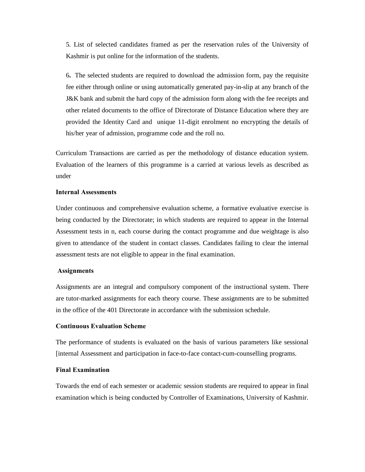5. List of selected candidates framed as per the reservation rules of the University of Kashmir is put online for the information of the students.

6**.** The selected students are required to download the admission form, pay the requisite fee either through online or using automatically generated pay-in-slip at any branch of the J&K bank and submit the hard copy of the admission form along with the fee receipts and other related documents to the office of Directorate of Distance Education where they are provided the Identity Card and unique 11-digit enrolment no encrypting the details of his/her year of admission, programme code and the roll no.

Curriculum Transactions are carried as per the methodology of distance education system. Evaluation of the learners of this programme is a carried at various levels as described as under

#### **Internal Assessments**

Under continuous and comprehensive evaluation scheme, a formative evaluative exercise is being conducted by the Directorate; in which students are required to appear in the Internal Assessment tests in n, each course during the contact programme and due weightage is also given to attendance of the student in contact classes. Candidates failing to clear the internal assessment tests are not eligible to appear in the final examination.

#### **Assignments**

Assignments are an integral and compulsory component of the instructional system. There are tutor-marked assignments for each theory course. These assignments are to be submitted in the office of the 401 Directorate in accordance with the submission schedule.

#### **Continuous Evaluation Scheme**

The performance of students is evaluated on the basis of various parameters like sessional [internal Assessment and participation in face-to-face contact-cum-counselling programs.

#### **Final Examination**

Towards the end of each semester or academic session students are required to appear in final examination which is being conducted by Controller of Examinations, University of Kashmir.